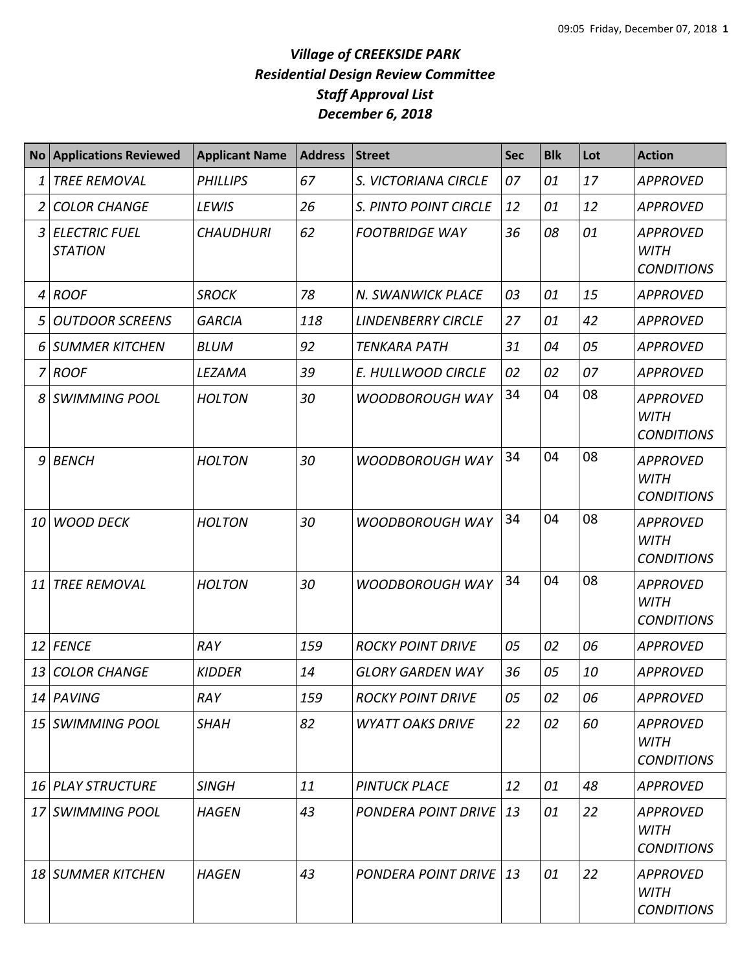## *Village of CREEKSIDE PARK Residential Design Review Committee Staff Approval List December 6, 2018*

|    | <b>No Applications Reviewed</b>        | <b>Applicant Name</b> | <b>Address</b> | <b>Street</b>                 | <b>Sec</b> | <b>Blk</b> | Lot | <b>Action</b>                                       |
|----|----------------------------------------|-----------------------|----------------|-------------------------------|------------|------------|-----|-----------------------------------------------------|
| 1  | <b>TREE REMOVAL</b>                    | <b>PHILLIPS</b>       | 67             | S. VICTORIANA CIRCLE          | 07         | 01         | 17  | <b>APPROVED</b>                                     |
| 2  | <b>COLOR CHANGE</b>                    | LEWIS                 | 26             | <b>S. PINTO POINT CIRCLE</b>  | 12         | 01         | 12  | <b>APPROVED</b>                                     |
| 3  | <b>ELECTRIC FUEL</b><br><b>STATION</b> | <b>CHAUDHURI</b>      | 62             | <b>FOOTBRIDGE WAY</b>         | 36         | 08         | 01  | <b>APPROVED</b><br><b>WITH</b><br><b>CONDITIONS</b> |
| 4  | <b>ROOF</b>                            | <b>SROCK</b>          | 78             | N. SWANWICK PLACE             | 03         | 01         | 15  | <b>APPROVED</b>                                     |
| 5  | <b>OUTDOOR SCREENS</b>                 | <b>GARCIA</b>         | 118            | <b>LINDENBERRY CIRCLE</b>     | 27         | 01         | 42  | <b>APPROVED</b>                                     |
| 6  | SUMMER KITCHEN                         | <b>BLUM</b>           | 92             | <b>TENKARA PATH</b>           | 31         | 04         | 05  | <b>APPROVED</b>                                     |
|    | 7 ROOF                                 | LEZAMA                | 39             | E. HULLWOOD CIRCLE            | 02         | 02         | 07  | <b>APPROVED</b>                                     |
| 8  | <b>SWIMMING POOL</b>                   | <b>HOLTON</b>         | 30             | <b>WOODBOROUGH WAY</b>        | 34         | 04         | 08  | <b>APPROVED</b><br><b>WITH</b><br><b>CONDITIONS</b> |
| 9  | <b>BENCH</b>                           | <b>HOLTON</b>         | 30             | <b>WOODBOROUGH WAY</b>        | 34         | 04         | 08  | <b>APPROVED</b><br><b>WITH</b><br><b>CONDITIONS</b> |
| 10 | <b>WOOD DECK</b>                       | <b>HOLTON</b>         | 30             | <b>WOODBOROUGH WAY</b>        | 34         | 04         | 08  | <b>APPROVED</b><br><b>WITH</b><br><b>CONDITIONS</b> |
| 11 | <b>TREE REMOVAL</b>                    | <b>HOLTON</b>         | 30             | <b>WOODBOROUGH WAY</b>        | 34         | 04         | 08  | <b>APPROVED</b><br><b>WITH</b><br><b>CONDITIONS</b> |
| 12 | <b>FENCE</b>                           | RAY                   | 159            | <b>ROCKY POINT DRIVE</b>      | 05         | 02         | 06  | <b>APPROVED</b>                                     |
| 13 | <b>COLOR CHANGE</b>                    | <b>KIDDER</b>         | 14             | <b>GLORY GARDEN WAY</b>       | 36         | 05         | 10  | <b>APPROVED</b>                                     |
|    | 14 PAVING                              | RAY                   | 159            | <b>ROCKY POINT DRIVE</b>      | 05         | 02         | 06  | <b>APPROVED</b>                                     |
|    | 15 SWIMMING POOL                       | <b>SHAH</b>           | 82             | <b>WYATT OAKS DRIVE</b>       | 22         | 02         | 60  | <b>APPROVED</b><br><b>WITH</b><br><b>CONDITIONS</b> |
|    | <b>16 PLAY STRUCTURE</b>               | <b>SINGH</b>          | 11             | <b>PINTUCK PLACE</b>          | 12         | 01         | 48  | <b>APPROVED</b>                                     |
|    | 17 SWIMMING POOL                       | <b>HAGEN</b>          | 43             | PONDERA POINT DRIVE           | 13         | 01         | 22  | <b>APPROVED</b><br><b>WITH</b><br><b>CONDITIONS</b> |
|    | 18 SUMMER KITCHEN                      | <b>HAGEN</b>          | 43             | <b>PONDERA POINT DRIVE 13</b> |            | 01         | 22  | <b>APPROVED</b><br><b>WITH</b><br><b>CONDITIONS</b> |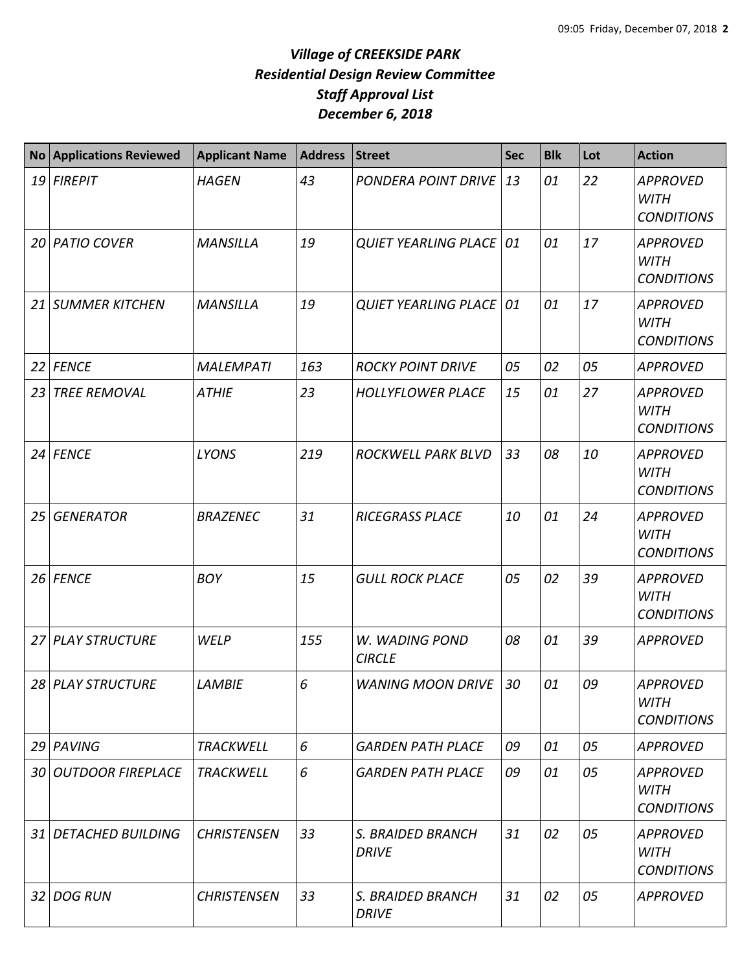## *Village of CREEKSIDE PARK Residential Design Review Committee Staff Approval List December 6, 2018*

|      | <b>No Applications Reviewed</b> | <b>Applicant Name</b> | <b>Address</b> | <b>Street</b>                     | <b>Sec</b> | <b>Blk</b> | Lot | <b>Action</b>                                       |
|------|---------------------------------|-----------------------|----------------|-----------------------------------|------------|------------|-----|-----------------------------------------------------|
| 19   | <b>FIREPIT</b>                  | <b>HAGEN</b>          | 43             | PONDERA POINT DRIVE               | 13         | 01         | 22  | <b>APPROVED</b><br><b>WITH</b><br><b>CONDITIONS</b> |
|      | 20 PATIO COVER                  | <b>MANSILLA</b>       | 19             | <b>QUIET YEARLING PLACE   01</b>  |            | 01         | 17  | <b>APPROVED</b><br><b>WITH</b><br><b>CONDITIONS</b> |
| 21   | <b>SUMMER KITCHEN</b>           | <b>MANSILLA</b>       | 19             | <b>QUIET YEARLING PLACE 01</b>    |            | 01         | 17  | <b>APPROVED</b><br><b>WITH</b><br><b>CONDITIONS</b> |
| 22   | <b>FENCE</b>                    | <b>MALEMPATI</b>      | 163            | <b>ROCKY POINT DRIVE</b>          | 05         | 02         | 05  | <b>APPROVED</b>                                     |
| 23   | <b>TREE REMOVAL</b>             | <b>ATHIE</b>          | 23             | <b>HOLLYFLOWER PLACE</b>          | 15         | 01         | 27  | <b>APPROVED</b><br><b>WITH</b><br><b>CONDITIONS</b> |
| 24   | <b>FENCE</b>                    | <b>LYONS</b>          | 219            | ROCKWELL PARK BLVD                | 33         | 08         | 10  | <b>APPROVED</b><br><b>WITH</b><br><b>CONDITIONS</b> |
| 25   | <b>GENERATOR</b>                | <b>BRAZENEC</b>       | 31             | <b>RICEGRASS PLACE</b>            | 10         | 01         | 24  | <b>APPROVED</b><br><b>WITH</b><br><b>CONDITIONS</b> |
| 26   | <b>FENCE</b>                    | <b>BOY</b>            | 15             | <b>GULL ROCK PLACE</b>            | 05         | 02         | 39  | <b>APPROVED</b><br><b>WITH</b><br><b>CONDITIONS</b> |
| 27 I | <b>PLAY STRUCTURE</b>           | <b>WELP</b>           | 155            | W. WADING POND<br><b>CIRCLE</b>   | 08         | 01         | 39  | <b>APPROVED</b>                                     |
|      | 28 PLAY STRUCTURE               | <b>LAMBIE</b>         | 6              | <b>WANING MOON DRIVE</b>          | 30         | 01         | 09  | <b>APPROVED</b><br><b>WITH</b><br><b>CONDITIONS</b> |
|      | 29 PAVING                       | <b>TRACKWELL</b>      | 6              | <b>GARDEN PATH PLACE</b>          | 09         | 01         | 05  | <b>APPROVED</b>                                     |
|      | <b>30 OUTDOOR FIREPLACE</b>     | <b>TRACKWELL</b>      | 6              | <b>GARDEN PATH PLACE</b>          | 09         | 01         | 05  | <b>APPROVED</b><br><b>WITH</b><br><b>CONDITIONS</b> |
| 31 I | <b>DETACHED BUILDING</b>        | <b>CHRISTENSEN</b>    | 33             | S. BRAIDED BRANCH<br><b>DRIVE</b> | 31         | 02         | 05  | <b>APPROVED</b><br><b>WITH</b><br><b>CONDITIONS</b> |
| 32 I | <b>DOG RUN</b>                  | <b>CHRISTENSEN</b>    | 33             | S. BRAIDED BRANCH<br><b>DRIVE</b> | 31         | 02         | 05  | <b>APPROVED</b>                                     |